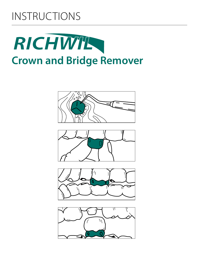# INSTRUCTIONS





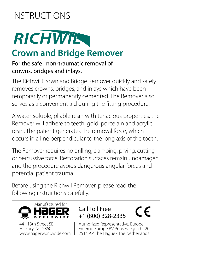# INSTRUCTIONS

# RICHWIE

# **Crown and Bridge Remover**

#### For the safe , non-traumatic removal of crowns, bridges and inlays.

The Richwil Crown and Bridge Remover quickly and safely removes crowns, bridges, and inlays which have been temporarily or permanently cemented. The Remover also serves as a convenient aid during the fitting procedure.

A water-soluble, pliable resin with tenacious properties, the Remover will adhere to teeth, gold, porcelain and acrylic resin. The patient generates the removal force, which occurs in a line perpendicular to the long axis of the tooth.

The Remover requires no drilling, clamping, prying, cutting or percussive force. Restoration surfaces remain undamaged and the procedure avoids dangerous angular forces and potential patient trauma.

Before using the Richwil Remover, please read the following instructions carefully.



441 19th Street SE Hickory, NC 28602 www.hagerworldwide.com

#### Call Toll Free +1 (800) 328-2335

Authorized Representative, Europe: Emergo Europe BV Prinsessegracht 20 2514 AP The Hague • The Netherlands

 $\in \epsilon$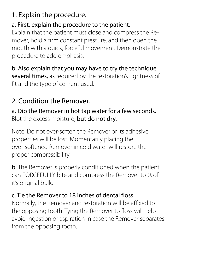# 1. Explain the procedure.

### a. First, explain the procedure to the patient.

Explain that the patient must close and compress the Remover, hold a firm constant pressure, and then open the mouth with a quick, forceful movement. Demonstrate the procedure to add emphasis.

b. Also explain that you may have to try the technique several times, as required by the restoration's tightness of fit and the type of cement used.

## 2. Condition the Remover.

a. Dip the Remover in hot tap water for a few seconds. Blot the excess moisture, but do not dry.

Note: Do not over-soften the Remover or its adhesive properties will be lost. Momentarily placing the over-softened Remover in cold water will restore the proper compressibility.

**b.** The Remover is properly conditioned when the patient can FORCEFULLY bite and compress the Remover to 2/3 of it's original bulk.

#### c. Tie the Remover to 18 inches of dental floss.

Normally, the Remover and restoration will be affixed to the opposing tooth. Tying the Remover to floss will help avoid ingestion or aspiration in case the Remover separates from the opposing tooth.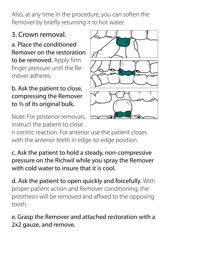Also, at any time in the procedure, you can soften the Remover by briefly returning it to hot water.

## 3. Crown removal.

a. Place the conditioned Remover on the restoration to be removed. Apply firm finger pressure until the Remover adheres.

#### b. Ask the patient to close, compressing the Remover to 2/3 of its original bulk.

Note: For posterior removals, instruct the patient to close



n centric reaction. For anterior use the patient closes with the anterior teeth in edge-to-edge position.

c. Ask the patient to hold a steady, non-compressive pressure on the Richwil while you spray the Remover with cold water to insure that it is cool.

d. Ask the patient to open quickly and forcefully. With proper patient action and Remover conditioning, the prosthesis will be removed and affixed to the opposing tooth.

e. Grasp the Remover and attached restoration with a 2x2 gauze, and remove.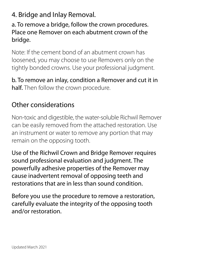## 4. Bridge and Inlay Removal.

a. To remove a bridge, follow the crown procedures. Place one Remover on each abutment crown of the bridge.

Note: If the cement bond of an abutment crown has loosened, you may choose to use Removers only on the tightly bonded crowns. Use your professional judgment.

b. To remove an inlay, condition a Remover and cut it in half. Then follow the crown procedure.

## Other considerations

Non-toxic and digestible, the water-soluble Richwil Remover can be easily removed from the attached restoration. Use an instrument or water to remove any portion that may remain on the opposing tooth.

Use of the Richwil Crown and Bridge Remover requires sound professional evaluation and judgment. The powerfully adhesive properties of the Remover may cause inadvertent removal of opposing teeth and restorations that are in less than sound condition.

Before you use the procedure to remove a restoration, carefully evaluate the integrity of the opposing tooth and/or restoration.